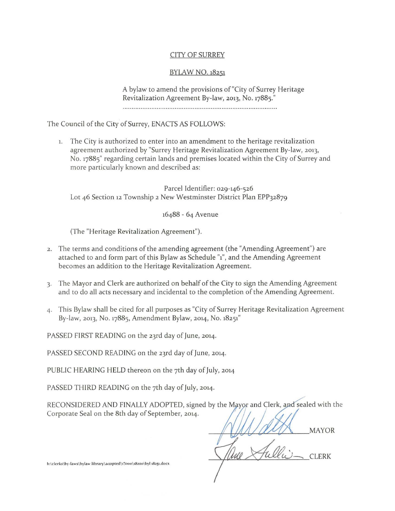# CITY OF SURREY

# BYLAW NO. 18251

A bylaw to amend the provisions of"City of Surrey Heritage Revitalization Agreement By-law, 2013, No. 17885."

The Council of the City of Surrey, ENACTS AS FOLLOWS:

1. The City is authorized to enter into an amendment to the heritage revitalization agreement authorized by "Surrey Heritage Revitalization Agreement By-law, 2013, No. 17885" regarding certain lands and premises located within the City of Surrey and more particularly known and described as:

Parcel Identifier: 029-146-526 Lot 46 Section 12 Township 2 New Westminster District Plan EPP32879

16488 - 64 Avenue

(The "Heritage Revitalization Agreement").

- <sup>2</sup> . The terms and conditions of the amending agreement (the "Amending Agreement") are attached to and form part of this Bylaw as Schedule "1", and the Amending Agreement becomes an addition to the Heritage Revitalization Agreement.
- 3· The Mayor and Clerk are authorized on behalf of the City to sign the Amending Agreement and to do all acts necessary and incidental to the completion of the Amending Agreement.
- 4· This Bylaw shall be cited for all purposes as "City of Surrey Heritage Revitalization Agreement By-law, 2013, No. 17885, Amendment Bylaw, 2014, No. 18251"

PASSED FIRST READING on the 23rd day of June, 2014.

PASSED SECOND READING on the 23rd day of June, 2014.

PUBLIC HEARING HELD thereon on the 7th day of July, 2014

PASSED THIRD READING on the 7th day of July, 2014.

RECONSIDERED AND FINALLY ADOPTED, signed by the Mayor and Clerk, and sealed with the Corporate Seal on the 8th day of September, 2014.

**MAYOR** 

**CLERK** 

h:\clerks\by-laws\bylaw library\adopted\13000\18200\byl 18251.docx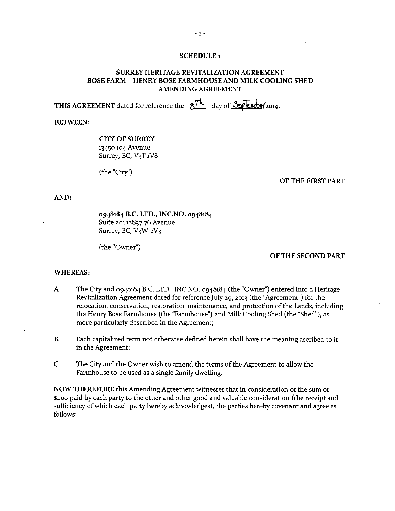#### **SCHEDULE <sup>I</sup>**

## **SURREY HERITAGE REVITALIZATION AGREEMENT BOSE FARM- HENRY BOSE FARMHOUSE AND MILK COOLING SHED AMENDING AGREEMENT**

**THIS AGREEMENT** dated for reference the  $8^{7k}$  day of  $S$ *Penbe(2014.* 

#### **BETWEEN:**

## **CITY OF SURREY**  13450 104 Avenue Surrey, BC, V3T 1V8

(the "City")

#### **OF THE FIRST PART**

### **AND:**

**0948184 B.C. LTD., INC.NO. 0948184**  Suite 20112837 76 Avenue Surrey, BC, V<sub>3</sub>W 2V<sub>3</sub>

(the "Owner")

## **OF THE SECOND PART**

#### **WHEREAS:**

- A. The City and 0948184 B.C. LTD., INC.NO. 0948184 (the "Owner") entered into a Heritage Revitalization Agreement dated for reference July 29, 2013 (the "Agreement") for the relocation, conservation, restoration, maintenance, and protection of the Lands, including the Henry Bose Farmhouse (the "Farmhouse") and Milk Cooling Shed (the "Shed"), as more particularly described in the Agreement;
- B. Each capitalized term not otherwise defined herein shall have the meaning ascribed to it in the Agreement;
- C. The City and the Owner wish to amend the terms of the Agreement to allow the Farmhouse to be used as a single family dwelling.

**NOW THEREFORE** this Amending Agreement witnesses that in consideration of the sum of \$t.oo paid by each party to the other and other good and valuable consideration (the receipt and sufficiency of which each party hereby acknowledges), the parties hereby covenant and agree as follows: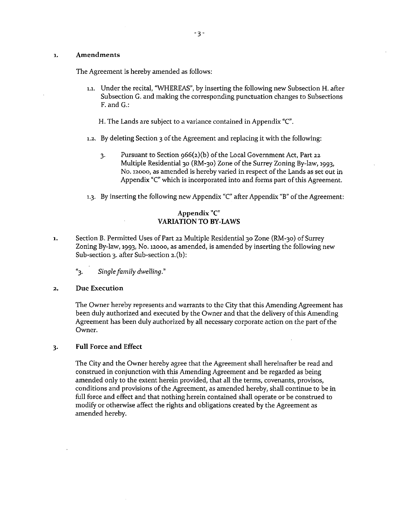### 1. Amendments

The Agreement is hereby amended as follows:

- 1.1. Under the recital, "WHEREAS", by inserting the following new Subsection H. after Subsection G. and making the corresponding punctuation changes to Subsections F. and G.:
	- H. The Lands are subject to a variance contained in Appendix "C".
- 1.2. By deleting Section 3 of the Agreement and replacing it with the following:
	- 3· Pursuant to Section 966(2)(b) of the Local Government Act, Part 22 Multiple Residential 30 (RM-30) Zone of the Surrey Zoning By-law, 1993, No. 12000, as amended is hereby varied in respect of the Lands as set out in Appendix "C" which is incorporated into and forms part of this Agreement.
- 1.3. By inserting the following new Appendix "C" after Appendix "B" of the Agreement:

# Appendix "C" VARIATION TO BY-LAWS

- 1. Section B. Permitted Uses of Part 22 Multiple Residential 30 Zone (RM-30) of Surrey Zoning By-law, 1993, No. 12ooo, as amended, is amended by inserting the following new Sub-section 3. after Sub-section 2.(b):
	- "3. *Single family dwelling."*

## 2. Due Execution

The Owner hereby represents and warrants to the City that this Amending Agreement has been duly authorized and executed by the Owner and that the delivery of this Amending Agreement has been duly authorized by all necessary corporate action on the part of the Owner.

## 3· **Full** Force and Effect

The City and the Owner hereby agree that the Agreement shall hereinafter be read and construed in conjunction with this Amending Agreement and be regarded as being amended only to the extent herein provided, that all the terms, covenants, provisos, conditions and provisions of the Agreement, as amended hereby, shall continue to be in full force and effect and that nothing herein contained shall operate or be construed to modifY or otherwise affect the rights and obligations created by the Agreement as amended hereby.